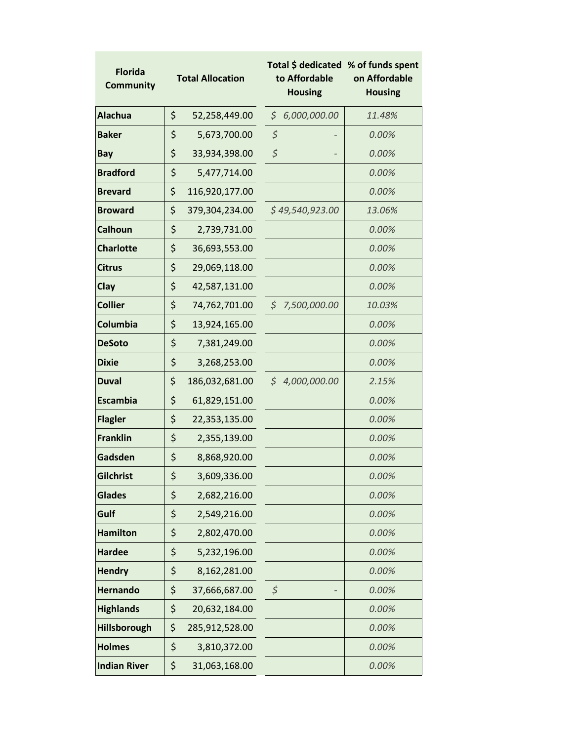| <b>Florida</b><br><b>Community</b> | <b>Total Allocation</b> |                | Total \$ dedicated % of funds spent<br>to Affordable<br><b>Housing</b> |                 | on Affordable<br><b>Housing</b> |  |
|------------------------------------|-------------------------|----------------|------------------------------------------------------------------------|-----------------|---------------------------------|--|
| <b>Alachua</b>                     | \$                      | 52,258,449.00  | \$                                                                     | 6,000,000.00    | 11.48%                          |  |
| <b>Baker</b>                       | \$                      | 5,673,700.00   | \$                                                                     |                 | 0.00%                           |  |
| Bay                                | \$                      | 33,934,398.00  | $\varsigma$                                                            |                 | 0.00%                           |  |
| <b>Bradford</b>                    | \$                      | 5,477,714.00   |                                                                        |                 | 0.00%                           |  |
| <b>Brevard</b>                     | \$                      | 116,920,177.00 |                                                                        |                 | 0.00%                           |  |
| <b>Broward</b>                     | \$                      | 379,304,234.00 |                                                                        | \$49,540,923.00 | 13.06%                          |  |
| <b>Calhoun</b>                     | \$                      | 2,739,731.00   |                                                                        |                 | 0.00%                           |  |
| <b>Charlotte</b>                   | \$                      | 36,693,553.00  |                                                                        |                 | 0.00%                           |  |
| <b>Citrus</b>                      | \$                      | 29,069,118.00  |                                                                        |                 | 0.00%                           |  |
| Clay                               | \$                      | 42,587,131.00  |                                                                        |                 | 0.00%                           |  |
| <b>Collier</b>                     | \$                      | 74,762,701.00  |                                                                        | \$7,500,000.00  | 10.03%                          |  |
| Columbia                           | \$                      | 13,924,165.00  |                                                                        |                 | 0.00%                           |  |
| <b>DeSoto</b>                      | \$                      | 7,381,249.00   |                                                                        |                 | 0.00%                           |  |
| <b>Dixie</b>                       | \$                      | 3,268,253.00   |                                                                        |                 | 0.00%                           |  |
| <b>Duval</b>                       | \$                      | 186,032,681.00 |                                                                        | \$4,000,000.00  | 2.15%                           |  |
| <b>Escambia</b>                    | \$                      | 61,829,151.00  |                                                                        |                 | 0.00%                           |  |
| <b>Flagler</b>                     | \$                      | 22,353,135.00  |                                                                        |                 | 0.00%                           |  |
| <b>Franklin</b>                    | \$                      | 2,355,139.00   |                                                                        |                 | 0.00%                           |  |
| Gadsden                            | \$                      | 8,868,920.00   |                                                                        |                 | 0.00%                           |  |
| Gilchrist                          | \$                      | 3,609,336.00   |                                                                        |                 | 0.00%                           |  |
| <b>Glades</b>                      | \$                      | 2,682,216.00   |                                                                        |                 | 0.00%                           |  |
| Gulf                               | \$                      | 2,549,216.00   |                                                                        |                 | 0.00%                           |  |
| <b>Hamilton</b>                    | \$                      | 2,802,470.00   |                                                                        |                 | 0.00%                           |  |
| <b>Hardee</b>                      | \$                      | 5,232,196.00   |                                                                        |                 | 0.00%                           |  |
| <b>Hendry</b>                      | \$                      | 8,162,281.00   |                                                                        |                 | 0.00%                           |  |
| <b>Hernando</b>                    | \$                      | 37,666,687.00  | \$                                                                     |                 | 0.00%                           |  |
| <b>Highlands</b>                   | \$                      | 20,632,184.00  |                                                                        |                 | 0.00%                           |  |
| Hillsborough                       | \$                      | 285,912,528.00 |                                                                        |                 | 0.00%                           |  |
| <b>Holmes</b>                      | \$                      | 3,810,372.00   |                                                                        |                 | 0.00%                           |  |
| <b>Indian River</b>                | \$                      | 31,063,168.00  |                                                                        |                 | 0.00%                           |  |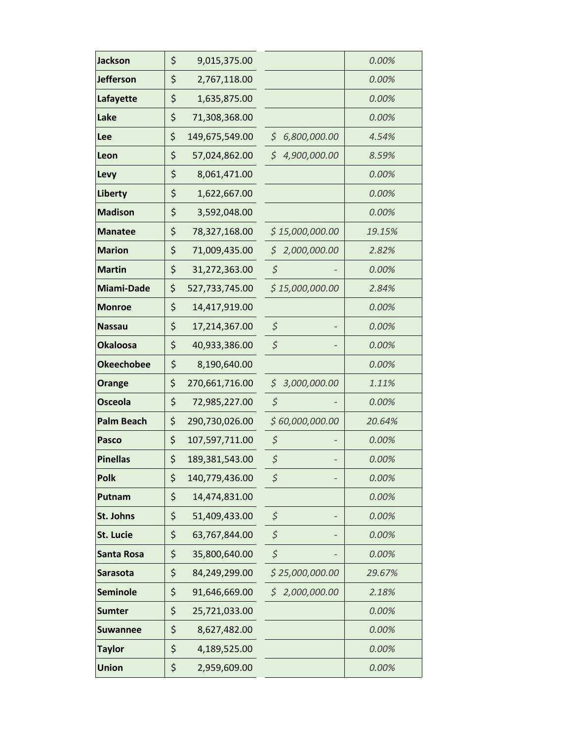| <b>Jackson</b>    | \$<br>9,015,375.00   |                    | 0.00%  |
|-------------------|----------------------|--------------------|--------|
| <b>Jefferson</b>  | \$<br>2,767,118.00   |                    | 0.00%  |
| Lafayette         | \$<br>1,635,875.00   |                    | 0.00%  |
| Lake              | \$<br>71,308,368.00  |                    | 0.00%  |
| Lee               | \$<br>149,675,549.00 | \$6,800,000.00     | 4.54%  |
| Leon              | \$<br>57,024,862.00  | \$<br>4,900,000.00 | 8.59%  |
| Levy              | \$<br>8,061,471.00   |                    | 0.00%  |
| Liberty           | \$<br>1,622,667.00   |                    | 0.00%  |
| <b>Madison</b>    | \$<br>3,592,048.00   |                    | 0.00%  |
| <b>Manatee</b>    | \$<br>78,327,168.00  | \$15,000,000.00    | 19.15% |
| <b>Marion</b>     | \$<br>71,009,435.00  | \$<br>2,000,000.00 | 2.82%  |
| <b>Martin</b>     | \$<br>31,272,363.00  | $\varsigma$        | 0.00%  |
| <b>Miami-Dade</b> | \$<br>527,733,745.00 | \$15,000,000.00    | 2.84%  |
| <b>Monroe</b>     | \$<br>14,417,919.00  |                    | 0.00%  |
| <b>Nassau</b>     | \$<br>17,214,367.00  | \$                 | 0.00%  |
| <b>Okaloosa</b>   | \$<br>40,933,386.00  | $\zeta$            | 0.00%  |
| <b>Okeechobee</b> | \$<br>8,190,640.00   |                    | 0.00%  |
| Orange            | \$<br>270,661,716.00 | \$3,000,000.00     | 1.11%  |
| <b>Osceola</b>    | \$<br>72,985,227.00  | $\varsigma$        | 0.00%  |
| <b>Palm Beach</b> | \$<br>290,730,026.00 | \$60,000,000.00    | 20.64% |
| <b>Pasco</b>      | \$<br>107,597,711.00 | \$                 | 0.00%  |
| <b>Pinellas</b>   | \$<br>189,381,543.00 | \$                 | 0.00%  |
| <b>Polk</b>       | \$<br>140,779,436.00 | \$                 | 0.00%  |
| Putnam            | \$<br>14,474,831.00  |                    | 0.00%  |
| St. Johns         | \$<br>51,409,433.00  | \$                 | 0.00%  |
| <b>St. Lucie</b>  | \$<br>63,767,844.00  | \$                 | 0.00%  |
| <b>Santa Rosa</b> | \$<br>35,800,640.00  | $\zeta$            | 0.00%  |
| <b>Sarasota</b>   | \$<br>84,249,299.00  | \$25,000,000.00    | 29.67% |
| <b>Seminole</b>   | \$<br>91,646,669.00  | 2,000,000.00<br>\$ | 2.18%  |
| <b>Sumter</b>     | \$<br>25,721,033.00  |                    | 0.00%  |
| <b>Suwannee</b>   | \$<br>8,627,482.00   |                    | 0.00%  |
| <b>Taylor</b>     | \$<br>4,189,525.00   |                    | 0.00%  |
| <b>Union</b>      | \$<br>2,959,609.00   |                    | 0.00%  |